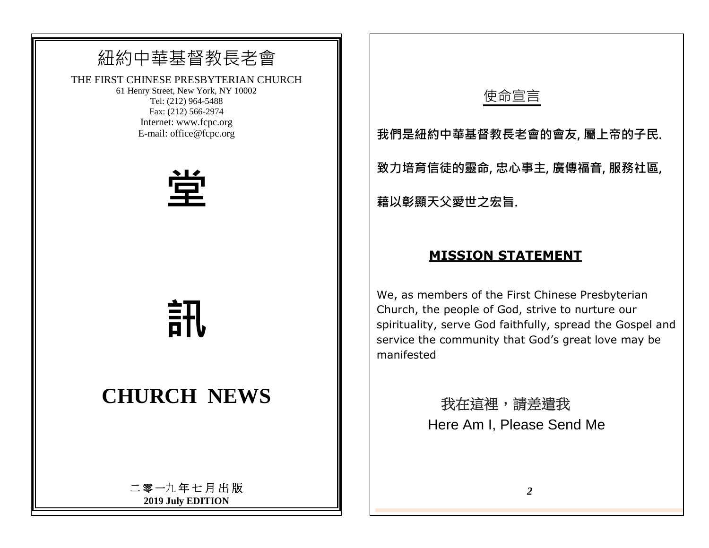# 紐約中華基督教長老會

THE FIRST CHINESE PRESBYTERIAN CHURCH

61 Henry Street, New York, NY 10002 Tel: (212) 964-5488 Fax: (212) 566-2974 Internet: www.fcpc.org E-mail: office@fcpc.org



**訊**

# **CHURCH NEWS**

二 零 一九 年 七 月 出 版 **2019 July EDITION**

## 使命宣言

**我們是紐約中華基督教長老會的會友, 屬上帝的子民.**

**致力培育信徒的靈命, 忠心事主, 廣傳福音, 服務社區,**

**藉以彰顯天父愛世之宏旨.** 

### **MISSION STATEMENT**

We, as members of the First Chinese Presbyterian Church, the people of God, strive to nurture our spirituality, serve God faithfully, spread the Gospel and service the community that God's great love may be manifested

> 我在這裡,請差遣我 Here Am I, Please Send Me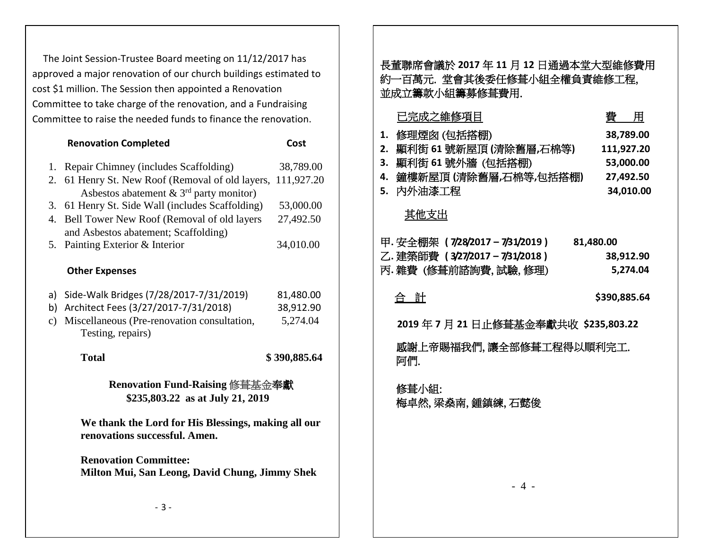The Joint Session-Trustee Board meeting on 11/12/2017 has approved a major renovation of our church buildings estimated to cost \$1 million. The Session then appointed a Renovation Committee to take charge of the renovation, and a Fundraising Committee to raise the needed funds to finance the renovation.

|                                                                                      | <b>Renovation Completed</b>                                                    | Cost         |  |
|--------------------------------------------------------------------------------------|--------------------------------------------------------------------------------|--------------|--|
| 1.                                                                                   | Repair Chimney (includes Scaffolding)                                          | 38,789.00    |  |
| 2.                                                                                   | 61 Henry St. New Roof (Removal of old layers,                                  | 111,927.20   |  |
|                                                                                      | Asbestos abatement $\&$ 3 <sup>rd</sup> party monitor)                         |              |  |
| 3.                                                                                   | 61 Henry St. Side Wall (includes Scaffolding)                                  | 53,000.00    |  |
| 4.                                                                                   | Bell Tower New Roof (Removal of old layers                                     | 27,492.50    |  |
|                                                                                      | and Asbestos abatement; Scaffolding)                                           |              |  |
|                                                                                      | 5. Painting Exterior & Interior                                                | 34,010.00    |  |
|                                                                                      |                                                                                |              |  |
|                                                                                      | <b>Other Expenses</b>                                                          |              |  |
| a)                                                                                   | Side-Walk Bridges (7/28/2017-7/31/2019)                                        | 81,480.00    |  |
| b)                                                                                   | Architect Fees (3/27/2017-7/31/2018)                                           | 38,912.90    |  |
| $\mathbf{c})$                                                                        | Miscellaneous (Pre-renovation consultation,                                    | 5,274.04     |  |
|                                                                                      | Testing, repairs)                                                              |              |  |
|                                                                                      | <b>Total</b>                                                                   | \$390,885.64 |  |
| Renovation Fund-Raising 修葺基金奉獻<br>\$235,803.22 as at July 21, 2019                   |                                                                                |              |  |
| We thank the Lord for His Blessings, making all our<br>renovations successful. Amen. |                                                                                |              |  |
|                                                                                      | <b>Renovation Committee:</b><br>Milton Mui, San Leong, David Chung, Jimmy Shek |              |  |
|                                                                                      | $-3-$                                                                          |              |  |

|    | 長董聯席會議於 2017 年 11 月 12 日通過本堂大型維修費用<br>約一百萬元.堂會其後委任修葺小組全權負責維修工程,<br>並成立籌款小組籌募修葺費用. |              |
|----|-----------------------------------------------------------------------------------|--------------|
|    | 已完成之維修項目                                                                          | 費用           |
| 1. | 修理煙囪 (包括搭棚)                                                                       | 38,789.00    |
| 2. | 顯利街 61號新屋頂 (清除舊層,石棉等)                                                             | 111,927.20   |
| 3. | 顯利街 61號外牆 (包括搭棚)                                                                  | 53,000.00    |
| 4. | 鐘樓新屋頂 (清除舊層,石棉等,包括搭棚)                                                             | 27,492.50    |
|    | 5.内外油漆工程                                                                          | 34,010.00    |
|    | 其他支出                                                                              |              |
|    | 甲. 安全棚架 (7/28/2017-7/31/2019)                                                     | 81,480.00    |
|    | 乙.建築師費 (3/27/2017-7/31/2018)                                                      | 38,912.90    |
|    | 丙.雜費 (修葺前諮詢費,試驗,修理)                                                               | 5,274.04     |
|    | 合 計                                                                               |              |
|    |                                                                                   | \$390,885.64 |
|    | 2019年7月21日止修葺基金奉獻共收 \$235,803.22                                                  |              |
|    | 感謝上帝賜福我們,讓全部修葺工程得以順利完工.<br>阿們.                                                    |              |
|    | 修葺小組:<br>梅卓然,梁桑南,鍾鎮練,石懿俊                                                          |              |
|    |                                                                                   |              |
|    |                                                                                   |              |
|    | -4-                                                                               |              |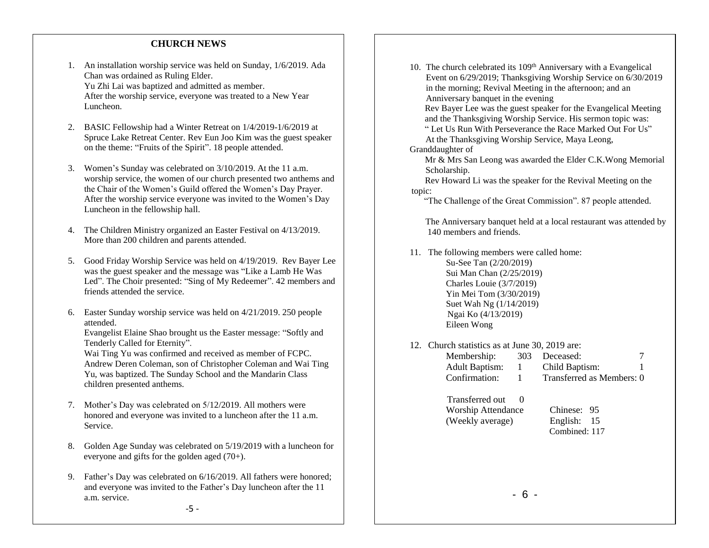#### **CHURCH NEWS**

- 1. An installation worship service was held on Sunday, 1/6/2019. Ada Chan was ordained as Ruling Elder. Yu Zhi Lai was baptized and admitted as member. After the worship service, everyone was treated to a New Year Luncheon.
- 2. BASIC Fellowship had a Winter Retreat on 1/4/2019-1/6/2019 at Spruce Lake Retreat Center. Rev Eun Joo Kim was the guest speaker on the theme: "Fruits of the Spirit". 18 people attended.
- 3. Women's Sunday was celebrated on 3/10/2019. At the 11 a.m. worship service, the women of our church presented two anthems and the Chair of the Women's Guild offered the Women's Day Prayer. After the worship service everyone was invited to the Women's Day Luncheon in the fellowship hall.
- 4. The Children Ministry organized an Easter Festival on 4/13/2019. More than 200 children and parents attended.
- 5. Good Friday Worship Service was held on 4/19/2019. Rev Bayer Lee was the guest speaker and the message was "Like a Lamb He Was Led". The Choir presented: "Sing of My Redeemer". 42 members and friends attended the service.
- 6. Easter Sunday worship service was held on 4/21/2019. 250 people attended.

Evangelist Elaine Shao brought us the Easter message: "Softly and Tenderly Called for Eternity".

Wai Ting Yu was confirmed and received as member of FCPC. Andrew Deren Coleman, son of Christopher Coleman and Wai Ting Yu, was baptized. The Sunday School and the Mandarin Class children presented anthems.

- 7. Mother's Day was celebrated on 5/12/2019. All mothers were honored and everyone was invited to a luncheon after the 11 a.m. Service.
- 8. Golden Age Sunday was celebrated on 5/19/2019 with a luncheon for everyone and gifts for the golden aged (70+).
- 9. Father's Day was celebrated on 6/16/2019. All fathers were honored; and everyone was invited to the Father's Day luncheon after the 11 a.m. service.

10. The church celebrated its 109<sup>th</sup> Anniversary with a Evangelical Event on 6/29/2019; Thanksgiving Worship Service on 6/30/2019 in the morning; Revival Meeting in the afternoon; and an Anniversary banquet in the evening

Rev Bayer Lee was the guest speaker for the Evangelical Meeting and the Thanksgiving Worship Service. His sermon topic was:

" Let Us Run With Perseverance the Race Marked Out For Us" At the Thanksgiving Worship Service, Maya Leong,

Granddaughter of

 Mr & Mrs San Leong was awarded the Elder C.K.Wong Memorial Scholarship.

 Rev Howard Li was the speaker for the Revival Meeting on the topic:

"The Challenge of the Great Commission". 87 people attended.

 The Anniversary banquet held at a local restaurant was attended by 140 members and friends.

- 11. The following members were called home: Su-See Tan (2/20/2019) Sui Man Chan (2/25/2019) Charles Louie (3/7/2019) Yin Mei Tom (3/30/2019) Suet Wah Ng (1/14/2019) Ngai Ko (4/13/2019) Eileen Wong
- 12. Church statistics as at June 30, 2019 are: Membership: 303 Deceased: 7 Adult Baptism: 1 Child Baptism: 1
	- Confirmation: 1 Transferred as Members: 0
	- Transferred out 0 Worship Attendance Chinese: 95 (Weekly average) English: 15
		- Combined: 117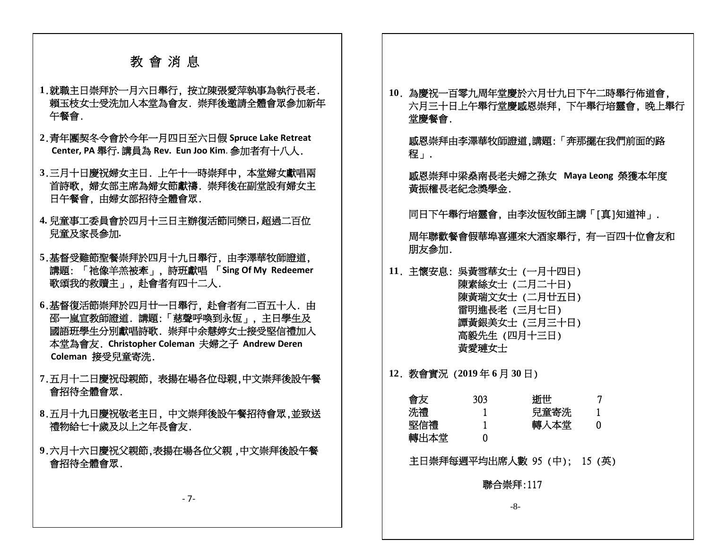#### 教 會 消 息

- **1**.就職主日崇拜於一月六日舉行, 按立陳張愛萍執事為執行長老. 賴玉枝女士受洗加入本堂為會友. 崇拜後邀請全體會眾參加新年 午餐會.
- **2**.青年團契冬令會於今年一月四日至六日假 **Spruce Lake Retreat Center, PA** 舉行**.** 講員為 **Rev. Eun Joo Kim**. 參加者有十八人.
- **3**.三月十日慶祝婦女主日. 上午十一時崇拜中, 本堂婦女獻唱兩 首詩歌, 婦女部主席為婦女節獻禱. 崇拜後在副堂設有婦女主 日午餐會, 由婦女部招待全體會眾.
- **4.** 兒童事工委員會於四月十三日主辦復活節同樂日**,** 超過二百位 兒童及家長參加**.**
- **5**.基督受難節聖餐崇拜於四月十九日舉行, 由李澤華牧師證道, 講題: 「祂像羊羔被牽」, 詩班獻唱 「**Sing Of My Redeemer** 歌頌我的救贖主」, 赴會者有四十二人.
- **6**.基督復活節崇拜於四月廿一日舉行, 赴會者有二百五十人. 由 邵一嵐宣教師證道. 講題:「慈聲呼喚到永恆」, 主日學生及 國語班學生分別獻唱詩歌. 崇拜中余慧婷女士接受堅信禮加入 本堂為會友. **Christopher Coleman** 夫婦之子 **Andrew Deren Coleman** 接受兒童寄洗.
- **7**.五月十二日慶祝母親節, 表揚在場各位母親,中文崇拜後設午餐 會招待全體會眾.
- **8**.五月十九日慶祝敬老主日, 中文崇拜後設午餐招待會眾,並致送 禮物給七十歲及以上之年長會友.
- **9**.六月十六日慶祝父親節,表揚在場各位父親 ,中文崇拜後設午餐 會招待全體會眾.

**10**. 為慶祝一百零九周年堂慶於六月廿九日下午二時舉行佈道會, 六月三十日上午舉行堂慶感恩崇拜, 下午舉行培靈會, 晚上舉行 堂慶餐會.

 感恩崇拜由李澤華牧師證道,講題:「奔那擺在我們前面的路 程」.

 感恩崇拜中梁燊南長老夫婦之孫女 **Maya Leong** 榮獲本年度 黃振權長老紀念獎學金.

同日下午舉行培靈會, 由李汝恆牧師主講「[真]知道神」.

周年聯歡餐會假華埠喜運來大酒家舉行, 有一百四十位會友和 朋友參加.

**11**. 主懷安息: 吳黃雪華女士 (一月十四日) 陳素絲女士 (二月二十日) 陳黃瑞文女士 (二月廿五日) 雷明進長老 (三月七日) 譚黃銀美女士 (三月三十日) 高毅先生 (四月十三日) 黃愛璉女士

**12**. 教會實況 (**2019** 年 **6** 月 **30** 日)

| 會友   | 303 | 浙世   |  |
|------|-----|------|--|
| 洗禮   |     | 兒童寄洗 |  |
| 堅信禮  |     | 轉入本堂 |  |
| 轉出本堂 |     |      |  |

主日崇拜每週平均出席人數 95 (中); 15 (英)

聯合崇拜:117

- 7-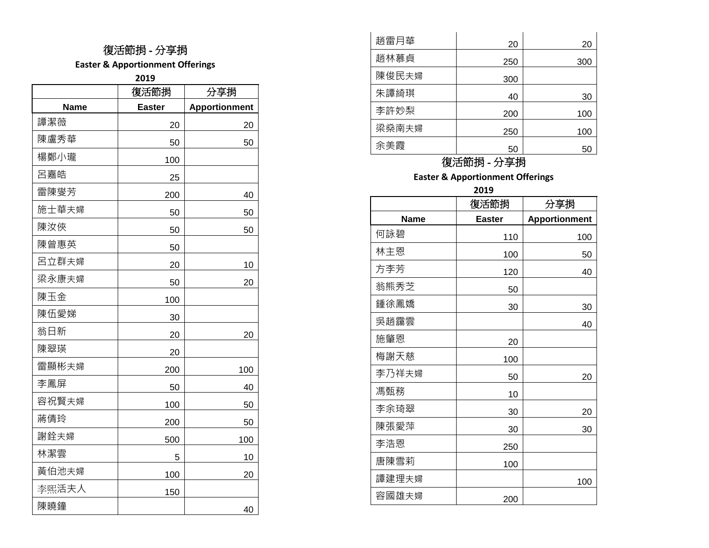**Easter & Apportionment Offerings**

**2019**

|       | 復活節捐          | 分享捐                  |
|-------|---------------|----------------------|
| Name  | <b>Easter</b> | <b>Apportionment</b> |
| 譚潔薇   | 20            | 20                   |
| 陳盧秀華  | 50            | 50                   |
| 楊鄭小瓏  | 100           |                      |
| 呂嘉皓   | 25            |                      |
| 雷陳燮芳  | 200           | 40                   |
| 施士華夫婦 | 50            | 50                   |
| 陳汝俠   | 50            | 50                   |
| 陳曾惠英  | 50            |                      |
| 呂立群夫婦 | 20            | 10                   |
| 梁永康夫婦 | 50            | 20                   |
| 陳玉金   | 100           |                      |
| 陳伍愛娣  | 30            |                      |
| 翁日新   | 20            | 20                   |
| 陳翠瑛   | 20            |                      |
| 雷顯彬夫婦 | 200           | 100                  |
| 李鳳屏   | 50            | 40                   |
| 容祝賢夫婦 | 100           | 50                   |
| 蔣倩玲   | 200           | 50                   |
| 謝銓夫婦  | 500           | 100                  |
| 林潔雲   | 5             | 10                   |
| 黃伯池夫婦 | 100           | 20                   |
| 李熙活夫人 | 150           |                      |
| 陳曉鐘   |               | 40                   |

| 趙雷月華  | 20  | 20  |
|-------|-----|-----|
| 趙林慕貞  | 250 | 300 |
| 陳俊民夫婦 | 300 |     |
| 朱譚綺琪  | 40  | 30  |
| 李許妙梨  | 200 | 100 |
| 梁燊南夫婦 | 250 | 100 |
| 余美霞   | 50  | 50  |

### 復活節捐 - 分享捐

**Easter & Apportionment Offerings**

**2019**

|       | 復活節捐          | 分享捐                  |
|-------|---------------|----------------------|
| Name  | <b>Easter</b> | <b>Apportionment</b> |
| 何詠碧   | 110           | 100                  |
| 林主恩   | 100           | 50                   |
| 方李芳   | 120           | 40                   |
| 翁熊秀芝  | 50            |                      |
| 鍾徐鳳嬌  | 30            | 30                   |
| 吳趙靄雲  |               | 40                   |
| 施肇恩   | 20            |                      |
| 梅謝天慈  | 100           |                      |
| 李乃祥夫婦 | 50            | 20                   |
| 馮甄務   | 10            |                      |
| 李余琦翠  | 30            | 20                   |
| 陳張愛萍  | 30            | 30                   |
| 李浩恩   | 250           |                      |
| 唐陳雪莉  | 100           |                      |
| 譚建理夫婦 |               | 100                  |
| 容國雄夫婦 | 200           |                      |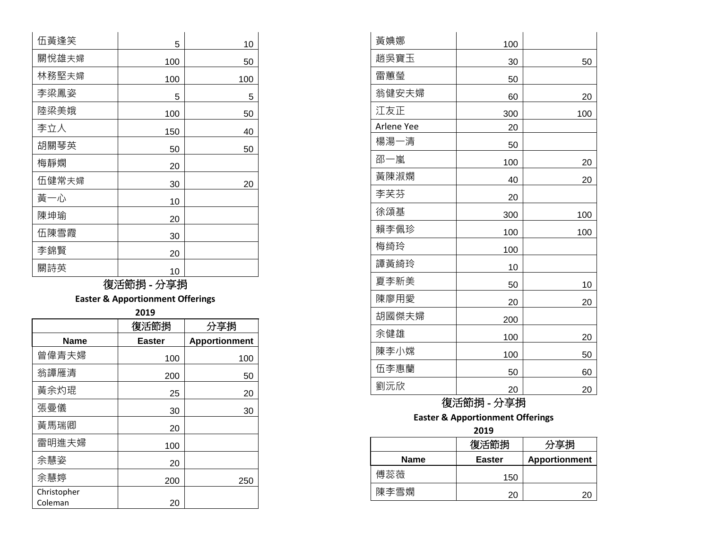| 伍黃逢笑  | 5   | 10  |
|-------|-----|-----|
| 關悅雄夫婦 | 100 | 50  |
| 林務堅夫婦 | 100 | 100 |
| 李梁鳳姿  | 5   | 5   |
| 陸梁美娥  | 100 | 50  |
| 李立人   | 150 | 40  |
| 胡關琴英  | 50  | 50  |
| 梅靜嫻   | 20  |     |
| 伍健常夫婦 | 30  | 20  |
| 黃一心   | 10  |     |
| 陳坤瑜   | 20  |     |
| 伍陳雪霞  | 30  |     |
| 李錦賢   | 20  |     |
| 關詩英   | 10  |     |

**Easter & Apportionment Offerings**

| 2019        |               |                      |  |
|-------------|---------------|----------------------|--|
|             | 復活節捐          | 分享捐                  |  |
| Name        | <b>Easter</b> | <b>Apportionment</b> |  |
| 曾偉青夫婦       | 100           | 100                  |  |
| 翁譚雁清        | 200           | 50                   |  |
| 黃余灼琨        | 25            | 20                   |  |
| 張曼儀         | 30            | 30                   |  |
| 黃馬瑞卿        | 20            |                      |  |
| 雷明進夫婦       | 100           |                      |  |
| 余慧姿         | 20            |                      |  |
| 余慧婷         | 200           | 250                  |  |
| Christopher |               |                      |  |
| Coleman     | 20            |                      |  |

| 黃婰娜        | 100 |     |
|------------|-----|-----|
| 趙吳寶玉       | 30  | 50  |
| 雷蕙瑩        | 50  |     |
| 翁健安夫婦      | 60  | 20  |
| 江友正        | 300 | 100 |
| Arlene Yee | 20  |     |
| 楊湯一清       | 50  |     |
| 邵一嵐        | 100 | 20  |
| 黃陳淑嫻       | 40  | 20  |
| 李芙芬        | 20  |     |
| 徐頌基        | 300 | 100 |
| 賴李佩珍       | 100 | 100 |
| 梅绮玲        | 100 |     |
| 譚黃綺玲       | 10  |     |
| 夏李新美       | 50  | 10  |
| 陳廖用愛       | 20  | 20  |
| 胡國傑夫婦      | 200 |     |
| 余健雄        | 100 | 20  |
| 陳李小嫦       | 100 | 50  |
| 伍李惠蘭       | 50  | 60  |
| 劉沅欣        | 20  | 20  |

# 復活節捐 - 分享捐

#### **Easter & Apportionment Offerings**

**2019**

|             | 復活節捐          | 分享捐                  |
|-------------|---------------|----------------------|
| <b>Name</b> | <b>Easter</b> | <b>Apportionment</b> |
| 傅蕊薇         | 150           |                      |
| 陳李雪嫻        | 20            |                      |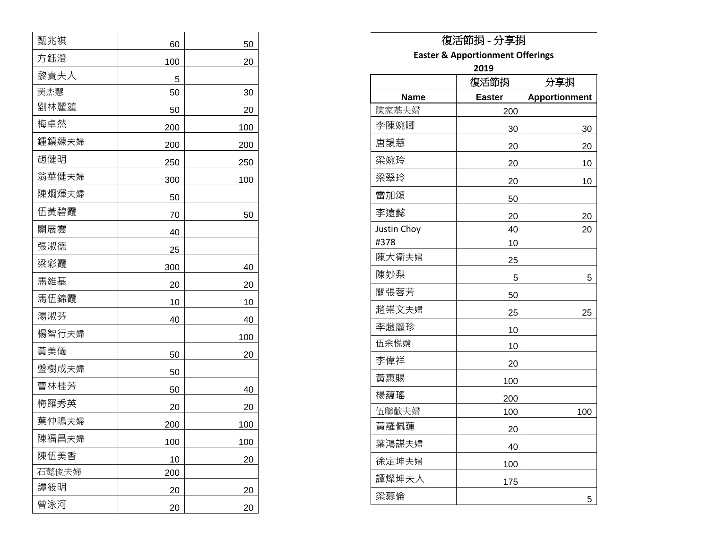| 甄兆祺   | 60  | 50  |
|-------|-----|-----|
| 方鈺澄   | 100 | 20  |
| 黎貴夫人  | 5   |     |
| 黄杰慧   | 50  | 30  |
| 劉林麗蓮  | 50  | 20  |
| 梅卓然   | 200 | 100 |
| 鍾鎮練夫婦 | 200 | 200 |
| 趙健明   | 250 | 250 |
| 翁華健夫婦 | 300 | 100 |
| 陳烱煇夫婦 | 50  |     |
| 伍黃碧霞  | 70  | 50  |
| 關展雲   | 40  |     |
| 張淑德   | 25  |     |
| 梁彩霞   | 300 | 40  |
| 馬維基   | 20  | 20  |
| 馬伍錦霞  | 10  | 10  |
| 湯淑芬   | 40  | 40  |
| 楊智行夫婦 |     | 100 |
| 黃美儀   | 50  | 20  |
| 盤樹成夫婦 | 50  |     |
| 曹林桂芳  | 50  | 40  |
| 梅羅秀英  | 20  | 20  |
| 葉仲鳴夫婦 | 200 | 100 |
| 陳福昌夫婦 | 100 | 100 |
| 陳伍美香  | 10  | 20  |
| 石懿俊夫婦 | 200 |     |
| 譚筱明   | 20  | 20  |
| 曾泳河   | 20  | 20  |

**Easter & Apportionment Offerings**

**2019**

|             | ZUIJ          |                      |
|-------------|---------------|----------------------|
|             | 復活節捐          | 分享捐                  |
| <b>Name</b> | <b>Easter</b> | <b>Apportionment</b> |
| 陳家基夫婦       | 200           |                      |
| 李陳婉卿        | 30            | 30                   |
| 唐韻慈         | 20            | 20                   |
| 梁婉玲         | 20            | 10                   |
| 梁翠玲         | 20            | 10                   |
| 雷加頌         | 50            |                      |
| 李遠懿         | 20            | 20                   |
| Justin Choy | 40            | 20                   |
| #378        | 10            |                      |
| 陳大衛夫婦       | 25            |                      |
| 陳妙梨         | 5             | 5                    |
| 關張蓉芳        | 50            |                      |
| 趙崇文夫婦       | 25            | 25                   |
| 李趙麗珍        | 10            |                      |
| 伍余悦嫦        | 10            |                      |
| 李偉祥         | 20            |                      |
| 黃惠賜         | 100           |                      |
| 楊蘊瑤         | 200           |                      |
| 伍聯歡夫婦       | 100           | 100                  |
| 黃羅佩蓮        | 20            |                      |
| 葉鴻謀夫婦       | 40            |                      |
| 徐定坤夫婦       | 100           |                      |
| 譚燦坤夫人       | 175           |                      |
| 梁慕倫         |               | 5                    |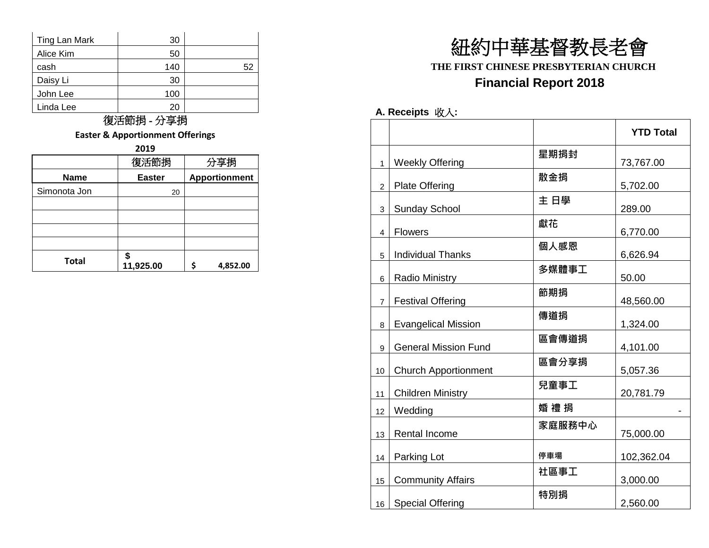| Ting Lan Mark | 30  |    |
|---------------|-----|----|
| Alice Kim     | 50  |    |
| cash          | 140 | 52 |
| Daisy Li      | 30  |    |
| John Lee      | 100 |    |
| Linda Lee     | 20  |    |

**Easter & Apportionment Offerings**

|              | 復活節捐          | 分享捐                  |
|--------------|---------------|----------------------|
| <b>Name</b>  | <b>Easter</b> | <b>Apportionment</b> |
| Simonota Jon | 20            |                      |
|              |               |                      |
|              |               |                      |
|              |               |                      |
|              |               |                      |
| <b>Total</b> | 11,925.00     | 4,852.00             |

# 紐約中華基督教長老會 **THE FIRST CHINESE PRESBYTERIAN CHURCH Financial Report 2018**

#### **A. Receipts** 收入**:**

|                |                             |        | <b>YTD Total</b> |
|----------------|-----------------------------|--------|------------------|
| $\mathbf{1}$   | <b>Weekly Offering</b>      | 星期捐封   | 73,767.00        |
| $\overline{2}$ | <b>Plate Offering</b>       | 散金捐    | 5,702.00         |
| 3              | <b>Sunday School</b>        | 主 日學   | 289.00           |
| 4              | <b>Flowers</b>              | 獻花     | 6,770.00         |
| 5              | <b>Individual Thanks</b>    | 個人感恩   | 6,626.94         |
| 6              | <b>Radio Ministry</b>       | 多媒體事工  | 50.00            |
| $\overline{7}$ | <b>Festival Offering</b>    | 節期捐    | 48,560.00        |
| 8              | <b>Evangelical Mission</b>  | 傳道捐    | 1,324.00         |
| 9              | <b>General Mission Fund</b> | 區會傳道捐  | 4,101.00         |
| 10             | <b>Church Apportionment</b> | 區會分享捐  | 5,057.36         |
| 11             | <b>Children Ministry</b>    | 兒童事工   | 20,781.79        |
| 12             | Wedding                     | 婚 禮 捐  |                  |
| 13             | Rental Income               | 家庭服務中心 | 75,000.00        |
| 14             | Parking Lot                 | 停車場    | 102,362.04       |
| 15             | Community Affairs           | 社區事工   | 3,000.00         |
| 16             | <b>Special Offering</b>     | 特別捐    | 2,560.00         |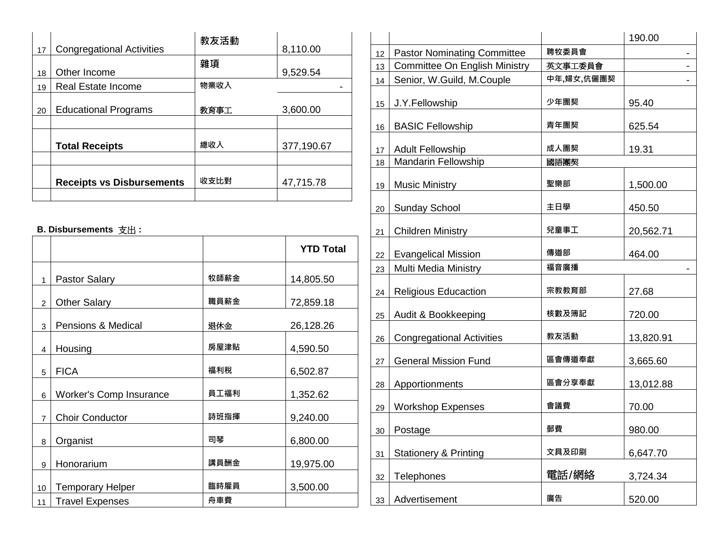| 17 | <b>Congregational Activities</b> | 教友活動 | 8,110.00   |
|----|----------------------------------|------|------------|
|    |                                  | 雜項   |            |
| 18 | Other Income                     |      | 9,529.54   |
| 19 | Real Estate Income               | 物業收入 |            |
| 20 | <b>Educational Programs</b>      | 教育事工 | 3,600.00   |
|    |                                  |      |            |
|    | <b>Total Receipts</b>            | 總收入  | 377,190.67 |
|    |                                  |      |            |
|    | <b>Receipts vs Disbursements</b> | 收支比對 | 47,715.78  |
|    |                                  |      |            |

#### **B. Disbursements** 支出 **:**

|                |                                |      | <b>YTD Total</b> |
|----------------|--------------------------------|------|------------------|
| 1              | <b>Pastor Salary</b>           | 牧師薪金 | 14,805.50        |
| $\overline{2}$ | <b>Other Salary</b>            | 職員薪金 | 72,859.18        |
| 3              | <b>Pensions &amp; Medical</b>  | 退休金  | 26,128.26        |
| 4              | Housing                        | 房屋津貼 | 4,590.50         |
| 5              | <b>FICA</b>                    | 福利稅  | 6,502.87         |
| 6              | <b>Worker's Comp Insurance</b> | 員工福利 | 1,352.62         |
| $\overline{7}$ | <b>Choir Conductor</b>         | 詩班指揮 | 9,240.00         |
| 8              | Organist                       | 司琴   | 6,800.00         |
| 9              | Honorarium                     | 講員酬金 | 19,975.00        |
| 10             | <b>Temporary Helper</b>        | 臨時雇員 | 3,500.00         |
| 11             | <b>Travel Expenses</b>         | 舟車費  |                  |

|    |                                      |            | 190.00    |
|----|--------------------------------------|------------|-----------|
| 12 | <b>Pastor Nominating Committee</b>   | 聘牧委員會      | -         |
| 13 | <b>Committee On English Ministry</b> | 英文事工委員會    |           |
| 14 | Senior, W.Guild, M.Couple            | 中年,婦女,伉儷團契 |           |
| 15 | J.Y.Fellowship                       | 少年團契       | 95.40     |
| 16 | <b>BASIC Fellowship</b>              | 青年團契       | 625.54    |
| 17 | <b>Adult Fellowship</b>              | 成人團契       | 19.31     |
| 18 | <b>Mandarin Fellowship</b>           | 國語團契       |           |
| 19 | <b>Music Ministry</b>                | 聖樂部        | 1,500.00  |
| 20 | <b>Sunday School</b>                 | 主日學        | 450.50    |
| 21 | <b>Children Ministry</b>             | 兒童事工       | 20,562.71 |
| 22 | <b>Evangelical Mission</b>           | 傳道部        | 464.00    |
| 23 | Multi Media Ministry                 | 福音廣播       |           |
| 24 | <b>Religious Educaction</b>          | 宗教教育部      | 27.68     |
| 25 | Audit & Bookkeeping                  | 核數及簿記      | 720.00    |
| 26 | <b>Congregational Activities</b>     | 教友活動       | 13,820.91 |
| 27 | <b>General Mission Fund</b>          | 區會傳道奉獻     | 3,665.60  |
| 28 | Apportionments                       | 區會分享奉獻     | 13,012.88 |
| 29 | <b>Workshop Expenses</b>             | 會議費        | 70.00     |
| 30 | Postage                              | 郵費         | 980.00    |
| 31 | <b>Stationery &amp; Printing</b>     | 文具及印刷      | 6,647.70  |
| 32 | Telephones                           | 電話/網絡      | 3,724.34  |
| 33 | Advertisement                        | 廣告         | 520.00    |